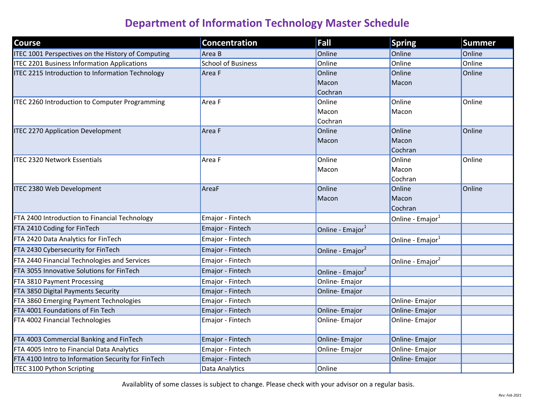| <b>Course</b>                                           | <b>Concentration</b>      | Fall                         | <b>Spring</b>                | <b>Summer</b> |
|---------------------------------------------------------|---------------------------|------------------------------|------------------------------|---------------|
| ITEC 1001 Perspectives on the History of Computing      | Area B                    | Online                       | Online                       | Online        |
| <b>ITEC 2201 Business Information Applications</b>      | <b>School of Business</b> | Online                       | Online                       | Online        |
| <b>ITEC 2215 Introduction to Information Technology</b> | Area F                    | Online                       | Online                       | Online        |
|                                                         |                           | Macon                        | Macon                        |               |
|                                                         |                           | Cochran                      |                              |               |
| ITEC 2260 Introduction to Computer Programming          | Area F                    | Online                       | Online                       | Online        |
|                                                         |                           | Macon                        | Macon                        |               |
|                                                         |                           | Cochran                      |                              |               |
| <b>ITEC 2270 Application Development</b>                | Area F                    | Online                       | Online                       | Online        |
|                                                         |                           | <b>Macon</b>                 | Macon                        |               |
|                                                         |                           |                              | Cochran                      |               |
| <b>ITEC 2320 Network Essentials</b>                     | Area F                    | Online                       | Online                       | Online        |
|                                                         |                           | Macon                        | Macon                        |               |
|                                                         |                           |                              | Cochran                      |               |
| <b>ITEC 2380 Web Development</b>                        | AreaF                     | Online                       | Online                       | Online        |
|                                                         |                           | Macon                        | Macon                        |               |
|                                                         |                           |                              | Cochran                      |               |
| FTA 2400 Introduction to Financial Technology           | Emajor - Fintech          |                              | Online - Emajor <sup>1</sup> |               |
| FTA 2410 Coding for FinTech                             | Emajor - Fintech          | Online - Emajor <sup>1</sup> |                              |               |
| FTA 2420 Data Analytics for FinTech                     | Emajor - Fintech          |                              | Online - Emajor <sup>1</sup> |               |
| FTA 2430 Cybersecurity for FinTech                      | Emajor - Fintech          | Online - Emajor <sup>2</sup> |                              |               |
| FTA 2440 Financial Technologies and Services            | Emajor - Fintech          |                              | Online - Emajor <sup>2</sup> |               |
| FTA 3055 Innovative Solutions for FinTech               | Emajor - Fintech          | Online - Emajor <sup>2</sup> |                              |               |
| FTA 3810 Payment Processing                             | Emajor - Fintech          | Online-Emajor                |                              |               |
| FTA 3850 Digital Payments Security                      | Emajor - Fintech          | Online-Emajor                |                              |               |
| FTA 3860 Emerging Payment Technologies                  | Emajor - Fintech          |                              | Online-Emajor                |               |
| FTA 4001 Foundations of Fin Tech                        | Emajor - Fintech          | Online-Emajor                | Online-Emajor                |               |
| FTA 4002 Financial Technologies                         | Emajor - Fintech          | Online-Emajor                | Online-Emajor                |               |
| FTA 4003 Commercial Banking and FinTech                 | Emajor - Fintech          | Online-Emajor                | Online-Emajor                |               |
| FTA 4005 Intro to Financial Data Analytics              | Emajor - Fintech          | Online-Emajor                | Online-Emajor                |               |
| FTA 4100 Intro to Information Security for FinTech      | Emajor - Fintech          |                              | Online-Emajor                |               |
| <b>ITEC 3100 Python Scripting</b>                       | Data Analytics            | Online                       |                              |               |

Availablity of some classes is subject to change. Please check with your advisor on a regular basis.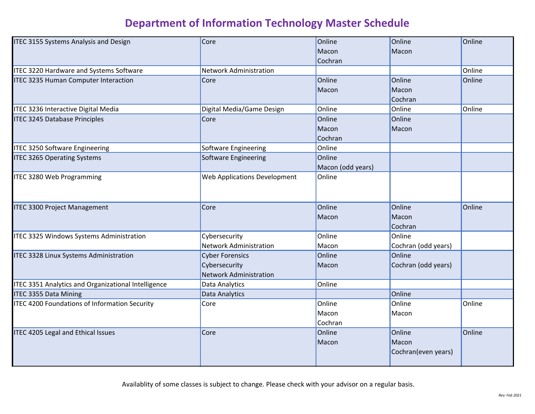| ITEC 3155 Systems Analysis and Design                | Core                          | Online            | Online              | Online |
|------------------------------------------------------|-------------------------------|-------------------|---------------------|--------|
|                                                      |                               | Macon             | Macon               |        |
|                                                      |                               | Cochran           |                     |        |
| <b>ITEC 3220 Hardware and Systems Software</b>       | <b>Network Administration</b> |                   |                     | Online |
| ITEC 3235 Human Computer Interaction                 | Core                          | Online            | Online              | Online |
|                                                      |                               | Macon             | Macon               |        |
|                                                      |                               |                   | Cochran             |        |
| ITEC 3236 Interactive Digital Media                  | Digital Media/Game Design     | Online            | Online              | Online |
| <b>ITEC 3245 Database Principles</b>                 | Core                          | Online            | Online              |        |
|                                                      |                               | Macon             | Macon               |        |
|                                                      |                               | Cochran           |                     |        |
| <b>ITEC 3250 Software Engineering</b>                | Software Engineering          | Online            |                     |        |
| <b>ITEC 3265 Operating Systems</b>                   | Software Engineering          | Online            |                     |        |
|                                                      |                               | Macon (odd years) |                     |        |
| ITEC 3280 Web Programming                            | Web Applications Development  | Online            |                     |        |
|                                                      |                               |                   |                     |        |
|                                                      |                               |                   |                     |        |
| <b>ITEC 3300 Project Management</b>                  | Core                          | Online            | Online              | Online |
|                                                      |                               | Macon             | Macon               |        |
|                                                      |                               |                   | Cochran             |        |
| ITEC 3325 Windows Systems Administration             | Cybersecurity                 | Online            | Online              |        |
|                                                      | <b>Network Administration</b> | Macon             | Cochran (odd years) |        |
| ITEC 3328 Linux Systems Administration               | <b>Cyber Forensics</b>        | Online            | Online              |        |
|                                                      | Cybersecurity                 | Macon             | Cochran (odd years) |        |
|                                                      | <b>Network Administration</b> |                   |                     |        |
| ITEC 3351 Analytics and Organizational Intelligence  | Data Analytics                | Online            |                     |        |
| <b>ITEC 3355 Data Mining</b>                         | Data Analytics                |                   | Online              |        |
| <b>ITEC 4200 Foundations of Information Security</b> | Core                          | Online            | Online              | Online |
|                                                      |                               | Macon             | Macon               |        |
|                                                      |                               | Cochran           |                     |        |
| <b>ITEC 4205 Legal and Ethical Issues</b>            | Core                          | Online            | Online              | Online |
|                                                      |                               | Macon             | Macon               |        |
|                                                      |                               |                   | Cochran(even years) |        |
|                                                      |                               |                   |                     |        |

Availablity of some classes is subject to change. Please check with your advisor on a regular basis.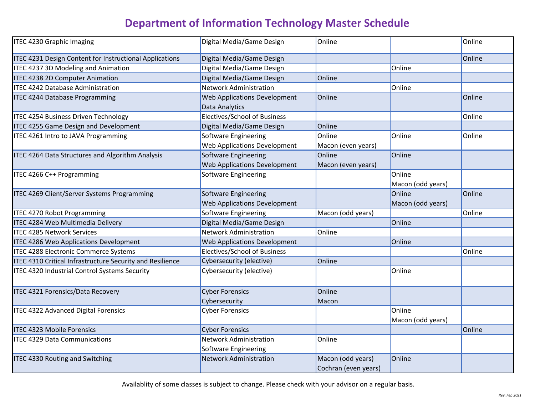| <b>ITEC 4230 Graphic Imaging</b>                          | Digital Media/Game Design           | Online               |                   | Online |
|-----------------------------------------------------------|-------------------------------------|----------------------|-------------------|--------|
| ITEC 4231 Design Content for Instructional Applications   | Digital Media/Game Design           |                      |                   | Online |
| <b>ITEC 4237 3D Modeling and Animation</b>                | Digital Media/Game Design           |                      | Online            |        |
| <b>ITEC 4238 2D Computer Animation</b>                    | Digital Media/Game Design           | Online               |                   |        |
| <b>ITEC 4242 Database Administration</b>                  | <b>Network Administration</b>       |                      | Online            |        |
| <b>ITEC 4244 Database Programming</b>                     | Web Applications Development        | Online               |                   | Online |
|                                                           | Data Analytics                      |                      |                   |        |
| ITEC 4254 Business Driven Technology                      | Electives/School of Business        |                      |                   | Online |
| <b>ITEC 4255 Game Design and Development</b>              | Digital Media/Game Design           | Online               |                   |        |
| ITEC 4261 Intro to JAVA Programming                       | <b>Software Engineering</b>         | Online               | Online            | Online |
|                                                           | Web Applications Development        | Macon (even years)   |                   |        |
| <b>ITEC 4264 Data Structures and Algorithm Analysis</b>   | Software Engineering                | Online               | Online            |        |
|                                                           | Web Applications Development        | Macon (even years)   |                   |        |
| ITEC 4266 C++ Programming                                 | Software Engineering                |                      | Online            |        |
|                                                           |                                     |                      | Macon (odd years) |        |
| ITEC 4269 Client/Server Systems Programming               | <b>Software Engineering</b>         |                      | Online            | Online |
|                                                           | <b>Web Applications Development</b> |                      | Macon (odd years) |        |
| <b>ITEC 4270 Robot Programming</b>                        | Software Engineering                | Macon (odd years)    |                   | Online |
| ITEC 4284 Web Multimedia Delivery                         | Digital Media/Game Design           |                      | Online            |        |
| <b>ITEC 4285 Network Services</b>                         | <b>Network Administration</b>       | Online               |                   |        |
| ITEC 4286 Web Applications Development                    | <b>Web Applications Development</b> |                      | Online            |        |
| <b>ITEC 4288 Electronic Commerce Systems</b>              | Electives/School of Business        |                      |                   | Online |
| ITEC 4310 Critical Infrastructure Security and Resilience | Cybersecurity (elective)            | Online               |                   |        |
| ITEC 4320 Industrial Control Systems Security             | Cybersecurity (elective)            |                      | Online            |        |
|                                                           |                                     |                      |                   |        |
| <b>ITEC 4321 Forensics/Data Recovery</b>                  | <b>Cyber Forensics</b>              | Online               |                   |        |
|                                                           | Cybersecurity                       | Macon                |                   |        |
| <b>ITEC 4322 Advanced Digital Forensics</b>               | <b>Cyber Forensics</b>              |                      | Online            |        |
|                                                           |                                     |                      | Macon (odd years) |        |
| <b>ITEC 4323 Mobile Forensics</b>                         | <b>Cyber Forensics</b>              |                      |                   | Online |
| <b>ITEC 4329 Data Communications</b>                      | <b>Network Administration</b>       | Online               |                   |        |
|                                                           | Software Engineering                |                      |                   |        |
| <b>ITEC 4330 Routing and Switching</b>                    | <b>Network Administration</b>       | Macon (odd years)    | Online            |        |
|                                                           |                                     | Cochran (even years) |                   |        |

Availablity of some classes is subject to change. Please check with your advisor on a regular basis.